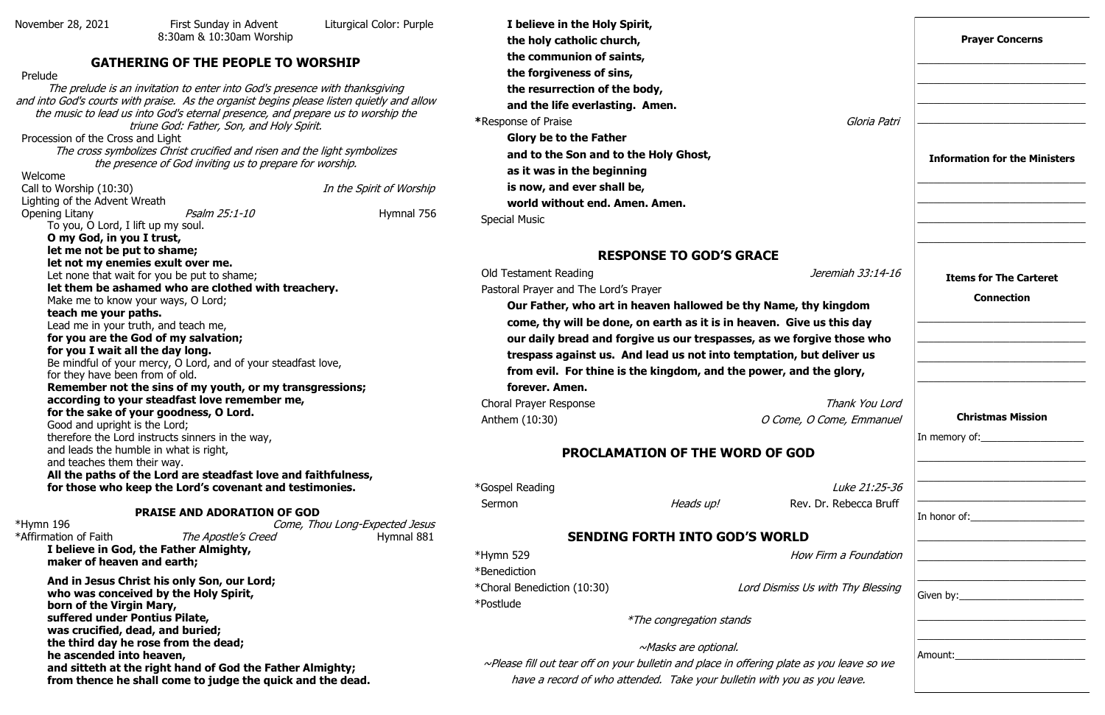November 28, 2021 First Sunday in Advent Liturgical Color: Purple 8:30am & 10:30am Worship

#### **GATHERING OF THE PEOPLE TO WORSHIP**

 Prelude The prelude is an invitation to enter into God's presence with thanksgiving and into God's courts with praise. As the organist begins please listen quietly and allow the music to lead us into God's eternal presence, and prepare us to worship the triune God: Father, Son, and Holy Spirit. Procession of the Cross and Light The cross symbolizes Christ crucified and risen and the light symbolizes the presence of God inviting us to prepare for worship. Welcome Call to Worship (10:30) Call to Worship (10:30) Lighting of the Advent Wreath Opening Litany **Psalm 25:1-10** Hymnal 756 To you, O Lord, I lift up my soul. **O my God, in you I trust, let me not be put to shame; let not my enemies exult over me.**  Let none that wait for you be put to shame; **let them be ashamed who are clothed with treachery.**  Make me to know your ways, O Lord; **teach me your paths.**  Lead me in your truth, and teach me, **for you are the God of my salvation; for you I wait all the day long.**  Be mindful of your mercy, O Lord, and of your steadfast love, for they have been from of old. **Remember not the sins of my youth, or my transgressions; according to your steadfast love remember me, for the sake of your goodness, O Lord.**  Good and upright is the Lord; therefore the Lord instructs sinners in the way, and leads the humble in what is right, and teaches them their way. **All the paths of the Lord are steadfast love and faithfulness, for those who keep the Lord's covenant and testimonies. PRAISE AND ADORATION OF GOD**

\*Affirmation of Faith The Apostle's Creed **Hymnal 881** 

**Our Father, who art in heaven hallowed be thy Name, thy** come, thy will be done, on earth as it is in heaven. Give **our daily bread and forgive us our trespasses, as we forget** trespass against us. And lead us not into temptation, but **from evil. For thine is the kingdom, and the power, and the glorify the state of the glorify state is and the glorify state is and the glorify state is and the glorify state is and the glorify state is and the glorify sta forever. Amen.**

Choral Prayer Response  $A$ nthem (10:30)  $O$  Come, O

 $*$ Hymn 529  $How$ \*Benediction \*Choral Benediction (10:30) Lord Dismiss Us \*Postlude

\*Hymn 196 Come, Thou Long-Expected Jesus

**I believe in God, the Father Almighty, maker of heaven and earth;**

**And in Jesus Christ his only Son, our Lord; who was conceived by the Holy Spirit, born of the Virgin Mary, suffered under Pontius Pilate, was crucified, dead, and buried; the third day he rose from the dead; he ascended into heaven, and sitteth at the right hand of God the Father Almighty; from thence he shall come to judge the quick and the dead.**

**I believe in the Holy Spirit, the holy catholic church, the communion of saints, the forgiveness of sins, the resurrection of the body, and the life everlasting. Amen. \*Response of Praise Glory be to the Father and to the Son and to the Holy Ghost, as it was in the beginning is now, and ever shall be, world without end. Amen. Amen.** Special Music

#### **RESPONSE TO GOD'S GRACE**

Old Testament Reading

Pastoral Prayer and The Lord's Prayer

# **PROCLAMATION OF THE WORD OF GOD**

\*Gospel Reading Sermon Rev. Rev. Rev.

## **SENDING FORTH INTO GOD'S WORLD**

\*The congregation stands

~Masks are optional.

 $~\sim$ Please fill out tear off on your bulletin and place in offering plate as have a record of who attended. Take your bulletin with you as

|                                                            | <b>Prayer Concerns</b>                                                                                                                                                                             |
|------------------------------------------------------------|----------------------------------------------------------------------------------------------------------------------------------------------------------------------------------------------------|
| Gloria Patri                                               | <b>Information for the Ministers</b>                                                                                                                                                               |
| Jeremiah 33:14-16<br>y kingdom                             | <b>Items for The Carteret</b><br><b>Connection</b>                                                                                                                                                 |
| us this day<br>ive those who<br>t deliver us<br>the glory, |                                                                                                                                                                                                    |
| Thank You Lord<br>' Come, Emmanuel                         | <b>Christmas Mission</b><br>In memory of: $\sqrt{\frac{2}{1-\frac{1}{2}} \cdot \frac{2}{1-\frac{1}{2}} \cdot \frac{2}{1-\frac{1}{2}} \cdot \frac{2}{1-\frac{1}{2}} \cdot \frac{2}{1-\frac{1}{2}}}$ |
| Luke 21:25-36<br>Dr. Rebecca Bruff                         | <u> 1980 - Johann Stein, marwolaethau a bhann an t-Amhain an t-Amhain an t-Amhain an t-Amhain an t-Amhain an t-Amh</u>                                                                             |
| Firm a Foundation                                          |                                                                                                                                                                                                    |
| With Thy Blessing                                          |                                                                                                                                                                                                    |
| you leave so we<br>you leave.                              |                                                                                                                                                                                                    |